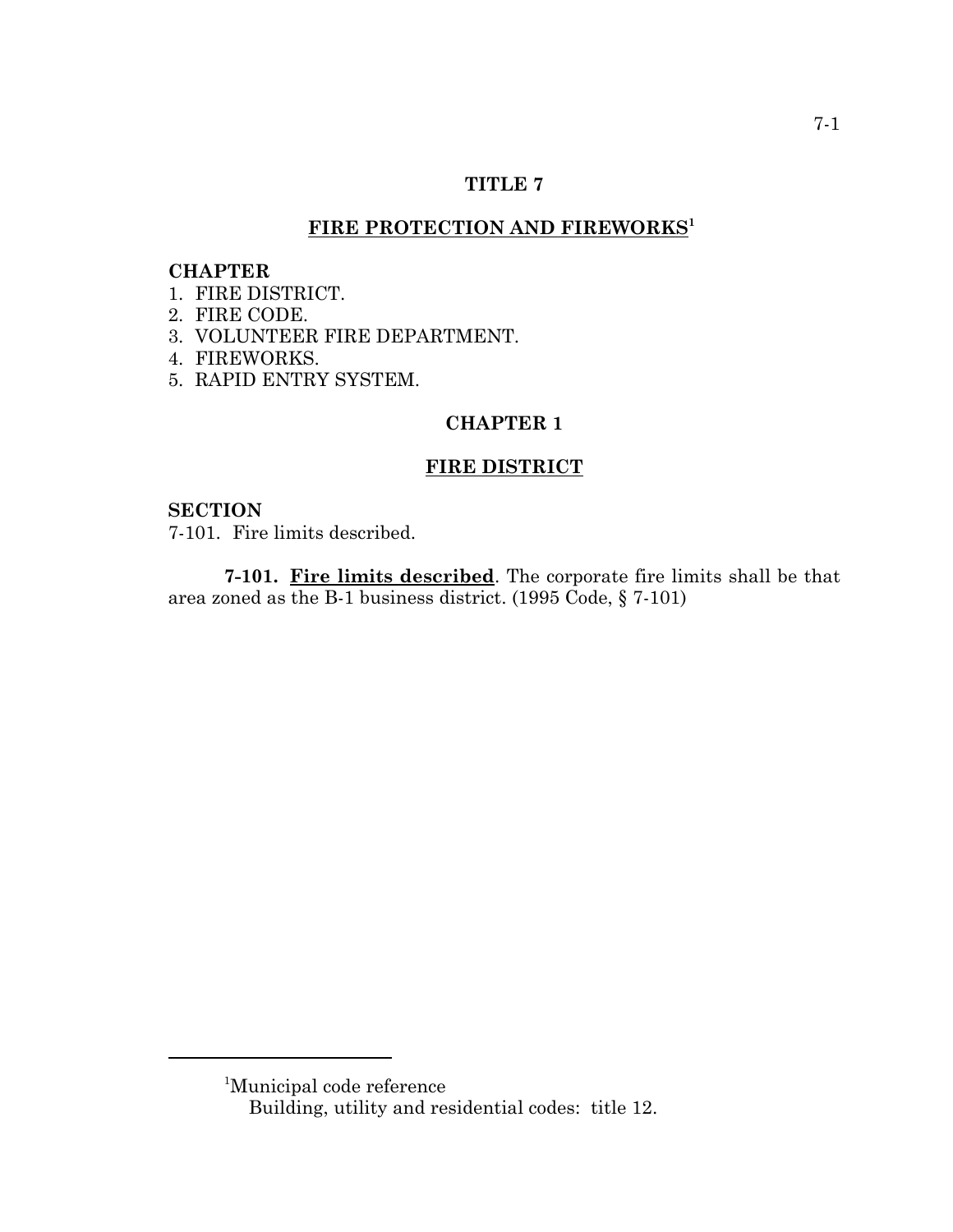### **TITLE 7**

# FIRE PROTECTION AND FIREWORKS<sup>1</sup>

## **CHAPTER**

- 1. FIRE DISTRICT.
- 2. FIRE CODE.
- 3. VOLUNTEER FIRE DEPARTMENT.
- 4. FIREWORKS.
- 5. RAPID ENTRY SYSTEM.

#### **CHAPTER 1**

## **FIRE DISTRICT**

### **SECTION**

7-101. Fire limits described.

**7-101. Fire limits described**. The corporate fire limits shall be that area zoned as the B-1 business district. (1995 Code, § 7-101)

<sup>1</sup> Municipal code reference

Building, utility and residential codes: title 12.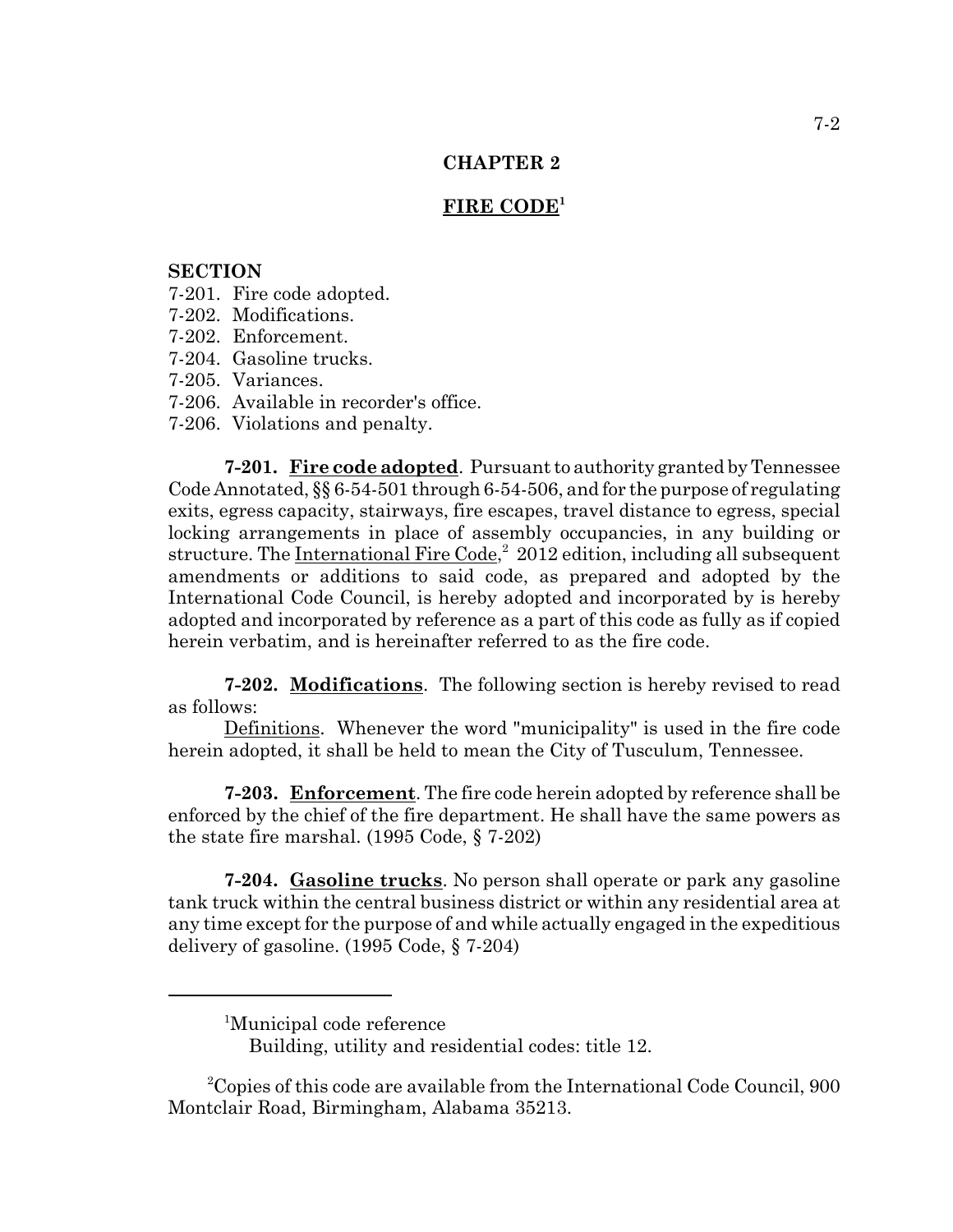#### **FIRE CODE<sup>1</sup>**

#### **SECTION**

- 7-201. Fire code adopted.
- 7-202. Modifications.
- 7-202. Enforcement.
- 7-204. Gasoline trucks.
- 7-205. Variances.
- 7-206. Available in recorder's office.
- 7-206. Violations and penalty.

**7-201. Fire code adopted**. Pursuant to authority granted by Tennessee Code Annotated, §§ 6-54-501 through 6-54-506, and for the purpose of regulating exits, egress capacity, stairways, fire escapes, travel distance to egress, special locking arrangements in place of assembly occupancies, in any building or structure. The International Fire Code,<sup>2</sup> 2012 edition, including all subsequent amendments or additions to said code, as prepared and adopted by the International Code Council, is hereby adopted and incorporated by is hereby adopted and incorporated by reference as a part of this code as fully as if copied herein verbatim, and is hereinafter referred to as the fire code.

**7-202. Modifications**. The following section is hereby revised to read as follows:

Definitions. Whenever the word "municipality" is used in the fire code herein adopted, it shall be held to mean the City of Tusculum, Tennessee.

**7-203. Enforcement**. The fire code herein adopted by reference shall be enforced by the chief of the fire department. He shall have the same powers as the state fire marshal. (1995 Code, § 7-202)

**7-204. Gasoline trucks**. No person shall operate or park any gasoline tank truck within the central business district or within any residential area at any time except for the purpose of and while actually engaged in the expeditious delivery of gasoline. (1995 Code, § 7-204)

<sup>&</sup>lt;sup>1</sup>Municipal code reference

Building, utility and residential codes: title 12.

<sup>&</sup>lt;sup>2</sup>Copies of this code are available from the International Code Council, 900 Montclair Road, Birmingham, Alabama 35213.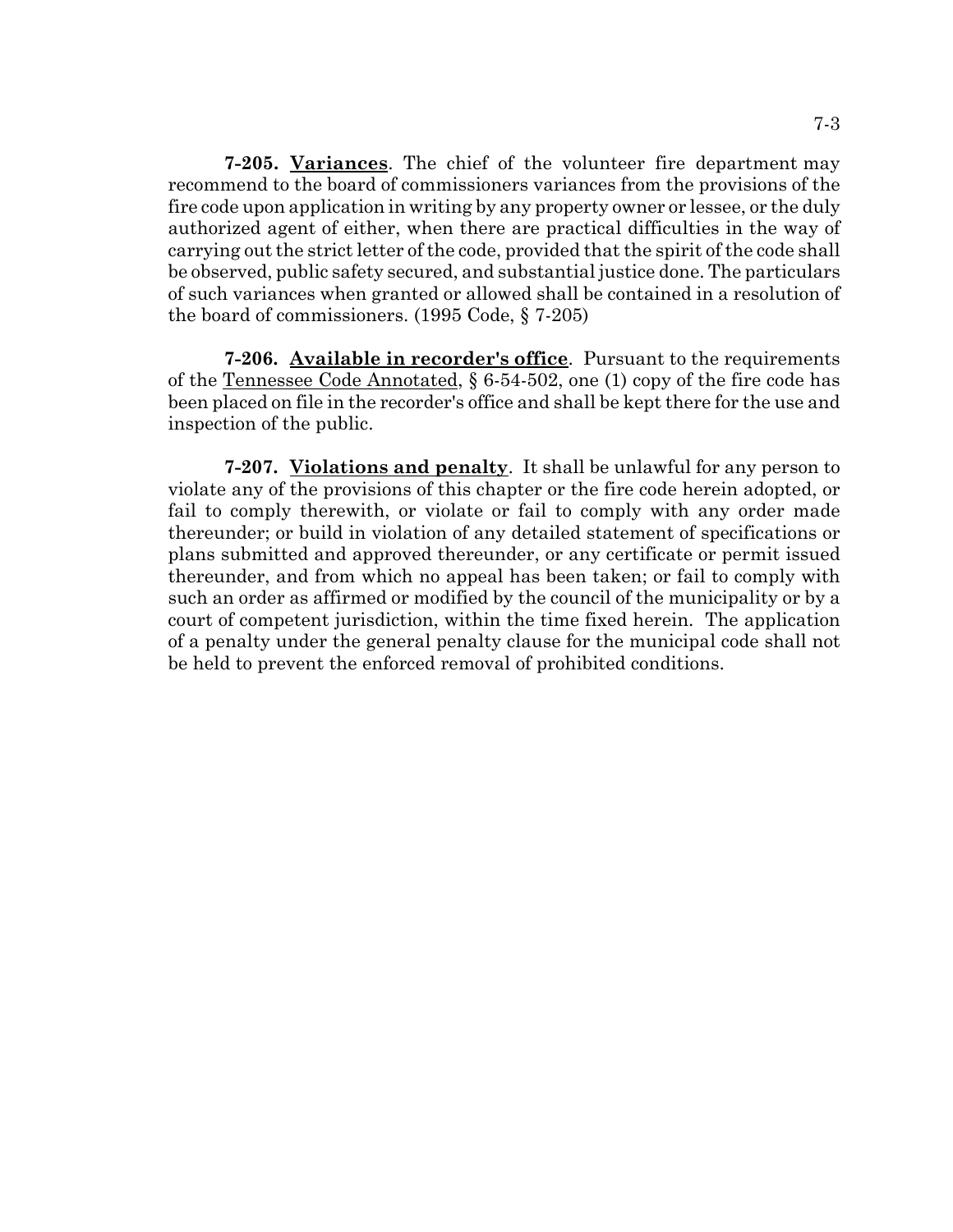**7-205. Variances**. The chief of the volunteer fire department may recommend to the board of commissioners variances from the provisions of the fire code upon application in writing by any property owner or lessee, or the duly authorized agent of either, when there are practical difficulties in the way of carrying out the strict letter of the code, provided that the spirit of the code shall be observed, public safety secured, and substantial justice done. The particulars of such variances when granted or allowed shall be contained in a resolution of the board of commissioners. (1995 Code, § 7-205)

**7-206. Available in recorder's office**. Pursuant to the requirements of the Tennessee Code Annotated, § 6-54-502, one (1) copy of the fire code has been placed on file in the recorder's office and shall be kept there for the use and inspection of the public.

**7-207. Violations and penalty**. It shall be unlawful for any person to violate any of the provisions of this chapter or the fire code herein adopted, or fail to comply therewith, or violate or fail to comply with any order made thereunder; or build in violation of any detailed statement of specifications or plans submitted and approved thereunder, or any certificate or permit issued thereunder, and from which no appeal has been taken; or fail to comply with such an order as affirmed or modified by the council of the municipality or by a court of competent jurisdiction, within the time fixed herein. The application of a penalty under the general penalty clause for the municipal code shall not be held to prevent the enforced removal of prohibited conditions.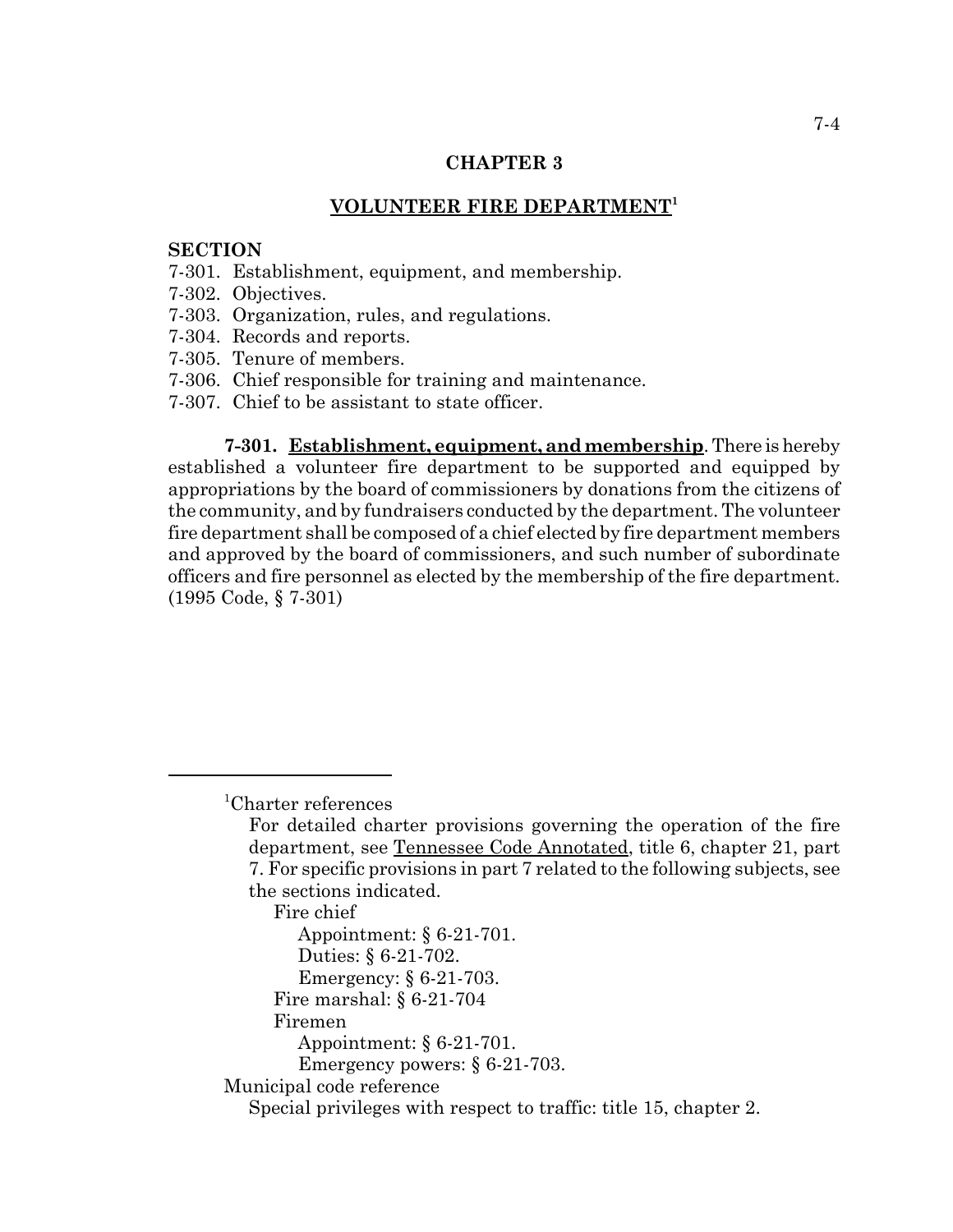### **VOLUNTEER FIRE DEPARTMENT<sup>1</sup>**

### **SECTION**

- 7-301. Establishment, equipment, and membership.
- 7-302. Objectives.
- 7-303. Organization, rules, and regulations.
- 7-304. Records and reports.
- 7-305. Tenure of members.
- 7-306. Chief responsible for training and maintenance.
- 7-307. Chief to be assistant to state officer.

**7-301. Establishment, equipment, and membership**. There is hereby established a volunteer fire department to be supported and equipped by appropriations by the board of commissioners by donations from the citizens of the community, and by fundraisers conducted by the department. The volunteer fire department shall be composed of a chief elected by fire department members and approved by the board of commissioners, and such number of subordinate officers and fire personnel as elected by the membership of the fire department. (1995 Code, § 7-301)

Fire chief

- Appointment: § 6-21-701. Duties: § 6-21-702.
- Emergency: § 6-21-703.
- Fire marshal: § 6-21-704
- Firemen
- Appointment: § 6-21-701.
- Emergency powers: § 6-21-703.

## Municipal code reference

<sup>1</sup> Charter references

For detailed charter provisions governing the operation of the fire department, see Tennessee Code Annotated, title 6, chapter 21, part 7. For specific provisions in part 7 related to the following subjects, see the sections indicated.

Special privileges with respect to traffic: title 15, chapter 2.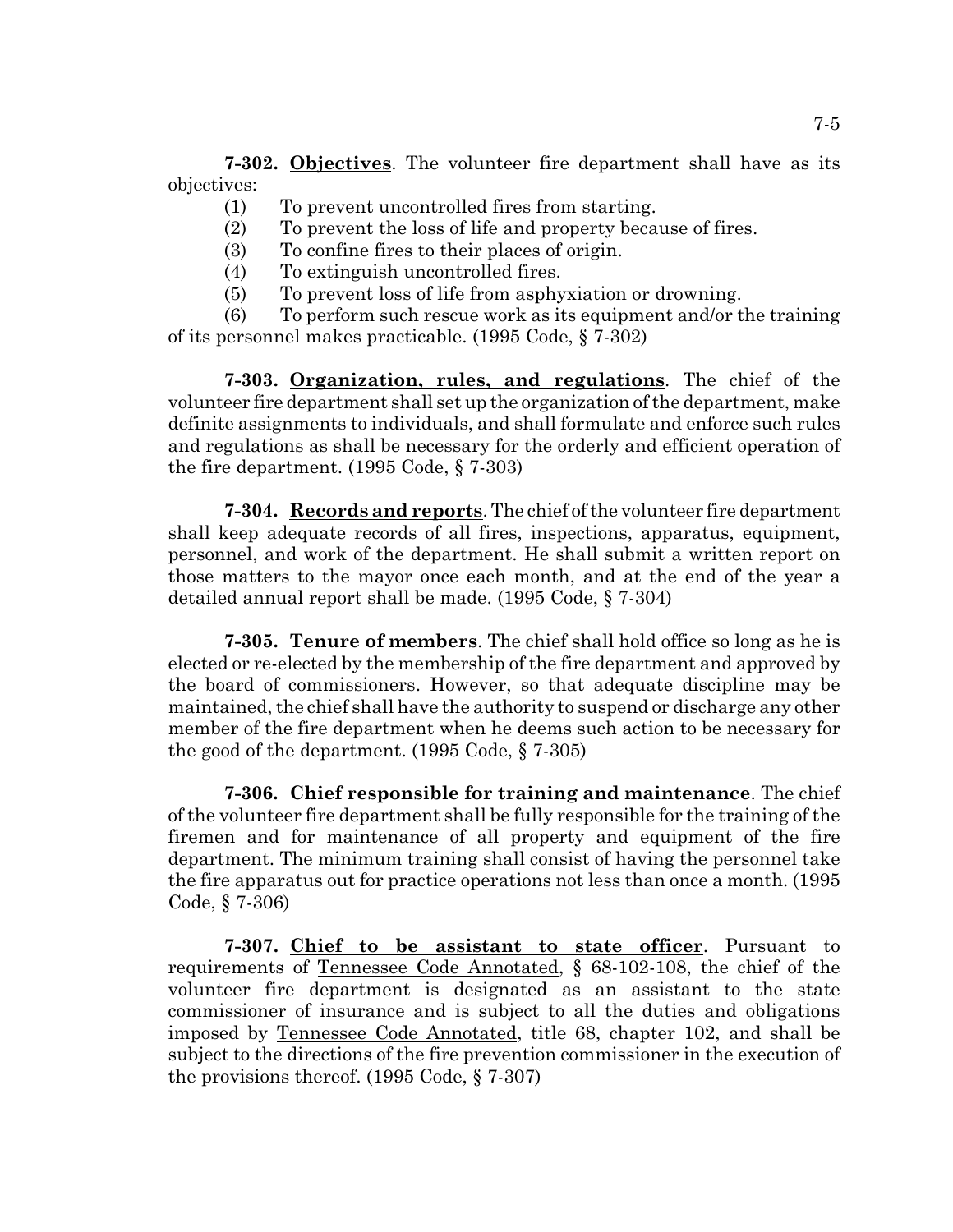**7-302. Objectives**. The volunteer fire department shall have as its objectives:

- (1) To prevent uncontrolled fires from starting.
- (2) To prevent the loss of life and property because of fires.
- (3) To confine fires to their places of origin.
- (4) To extinguish uncontrolled fires.
- (5) To prevent loss of life from asphyxiation or drowning.

(6) To perform such rescue work as its equipment and/or the training of its personnel makes practicable. (1995 Code, § 7-302)

**7-303. Organization, rules, and regulations**. The chief of the volunteer fire department shall set up the organization of the department, make definite assignments to individuals, and shall formulate and enforce such rules and regulations as shall be necessary for the orderly and efficient operation of the fire department. (1995 Code, § 7-303)

**7-304. Records and reports**. The chief of the volunteer fire department shall keep adequate records of all fires, inspections, apparatus, equipment, personnel, and work of the department. He shall submit a written report on those matters to the mayor once each month, and at the end of the year a detailed annual report shall be made. (1995 Code, § 7-304)

**7-305. Tenure of members**. The chief shall hold office so long as he is elected or re-elected by the membership of the fire department and approved by the board of commissioners. However, so that adequate discipline may be maintained, the chief shall have the authority to suspend or discharge any other member of the fire department when he deems such action to be necessary for the good of the department. (1995 Code, § 7-305)

**7-306. Chief responsible for training and maintenance**. The chief of the volunteer fire department shall be fully responsible for the training of the firemen and for maintenance of all property and equipment of the fire department. The minimum training shall consist of having the personnel take the fire apparatus out for practice operations not less than once a month. (1995 Code, § 7-306)

**7-307. Chief to be assistant to state officer**. Pursuant to requirements of Tennessee Code Annotated, § 68-102-108, the chief of the volunteer fire department is designated as an assistant to the state commissioner of insurance and is subject to all the duties and obligations imposed by Tennessee Code Annotated, title 68, chapter 102, and shall be subject to the directions of the fire prevention commissioner in the execution of the provisions thereof. (1995 Code, § 7-307)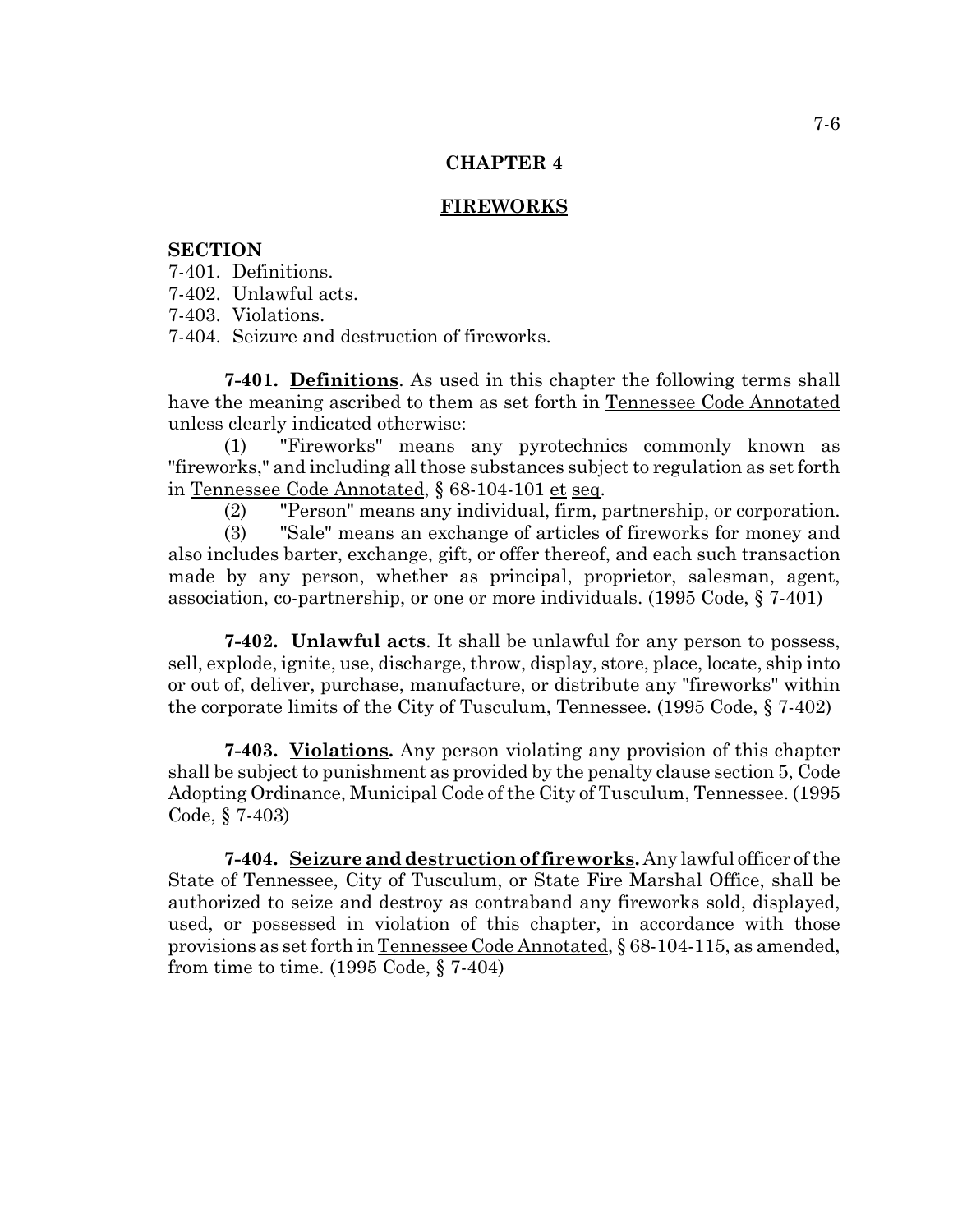### **FIREWORKS**

### **SECTION**

7-401. Definitions.

7-402. Unlawful acts.

7-403. Violations.

7-404. Seizure and destruction of fireworks.

**7-401. Definitions**. As used in this chapter the following terms shall have the meaning ascribed to them as set forth in Tennessee Code Annotated unless clearly indicated otherwise:

(1) "Fireworks" means any pyrotechnics commonly known as "fireworks," and including all those substances subject to regulation as set forth in Tennessee Code Annotated, § 68-104-101 et seq.

(2) "Person" means any individual, firm, partnership, or corporation.

(3) "Sale" means an exchange of articles of fireworks for money and also includes barter, exchange, gift, or offer thereof, and each such transaction made by any person, whether as principal, proprietor, salesman, agent, association, co-partnership, or one or more individuals. (1995 Code, § 7-401)

**7-402. Unlawful acts**. It shall be unlawful for any person to possess, sell, explode, ignite, use, discharge, throw, display, store, place, locate, ship into or out of, deliver, purchase, manufacture, or distribute any "fireworks" within the corporate limits of the City of Tusculum, Tennessee. (1995 Code, § 7-402)

**7-403. Violations.** Any person violating any provision of this chapter shall be subject to punishment as provided by the penalty clause section 5, Code Adopting Ordinance, Municipal Code of the City of Tusculum, Tennessee. (1995 Code, § 7-403)

**7-404. Seizure and destruction of fireworks.** Any lawful officer of the State of Tennessee, City of Tusculum, or State Fire Marshal Office, shall be authorized to seize and destroy as contraband any fireworks sold, displayed, used, or possessed in violation of this chapter, in accordance with those provisions as set forth in Tennessee Code Annotated, § 68-104-115, as amended, from time to time. (1995 Code, § 7-404)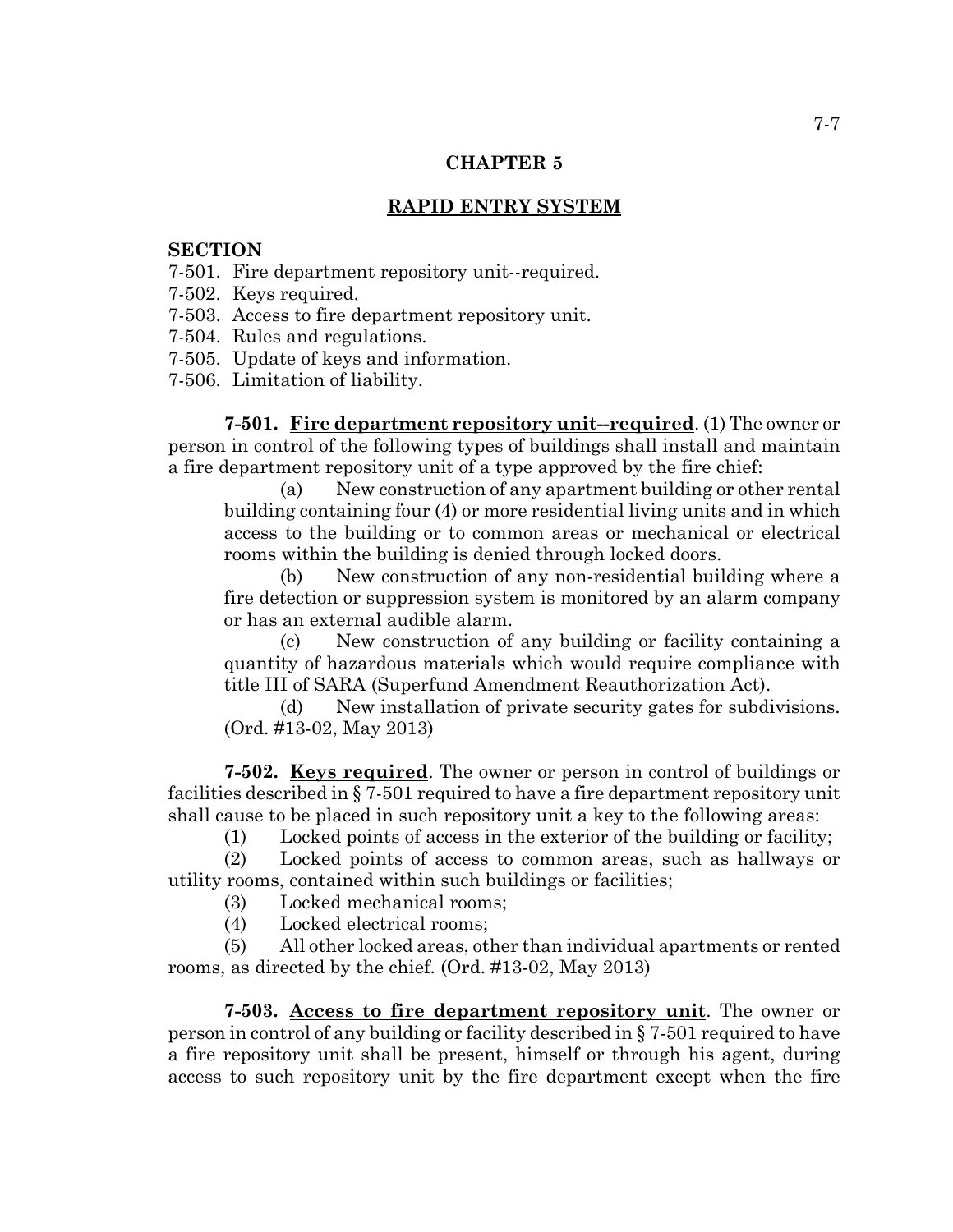# **RAPID ENTRY SYSTEM**

## **SECTION**

- 7-501. Fire department repository unit--required.
- 7-502. Keys required.
- 7-503. Access to fire department repository unit.
- 7-504. Rules and regulations.
- 7-505. Update of keys and information.
- 7-506. Limitation of liability.

**7-501. Fire department repository unit--required**. (1) The owner or person in control of the following types of buildings shall install and maintain a fire department repository unit of a type approved by the fire chief:

(a) New construction of any apartment building or other rental building containing four (4) or more residential living units and in which access to the building or to common areas or mechanical or electrical rooms within the building is denied through locked doors.

(b) New construction of any non-residential building where a fire detection or suppression system is monitored by an alarm company or has an external audible alarm.

(c) New construction of any building or facility containing a quantity of hazardous materials which would require compliance with title III of SARA (Superfund Amendment Reauthorization Act).

(d) New installation of private security gates for subdivisions. (Ord. #13-02, May 2013)

**7-502. Keys required**. The owner or person in control of buildings or facilities described in § 7-501 required to have a fire department repository unit shall cause to be placed in such repository unit a key to the following areas:

(1) Locked points of access in the exterior of the building or facility;

(2) Locked points of access to common areas, such as hallways or utility rooms, contained within such buildings or facilities;

(3) Locked mechanical rooms;

(4) Locked electrical rooms;

(5) All other locked areas, other than individual apartments or rented rooms, as directed by the chief. (Ord. #13-02, May 2013)

**7-503. Access to fire department repository unit**. The owner or person in control of any building or facility described in § 7-501 required to have a fire repository unit shall be present, himself or through his agent, during access to such repository unit by the fire department except when the fire